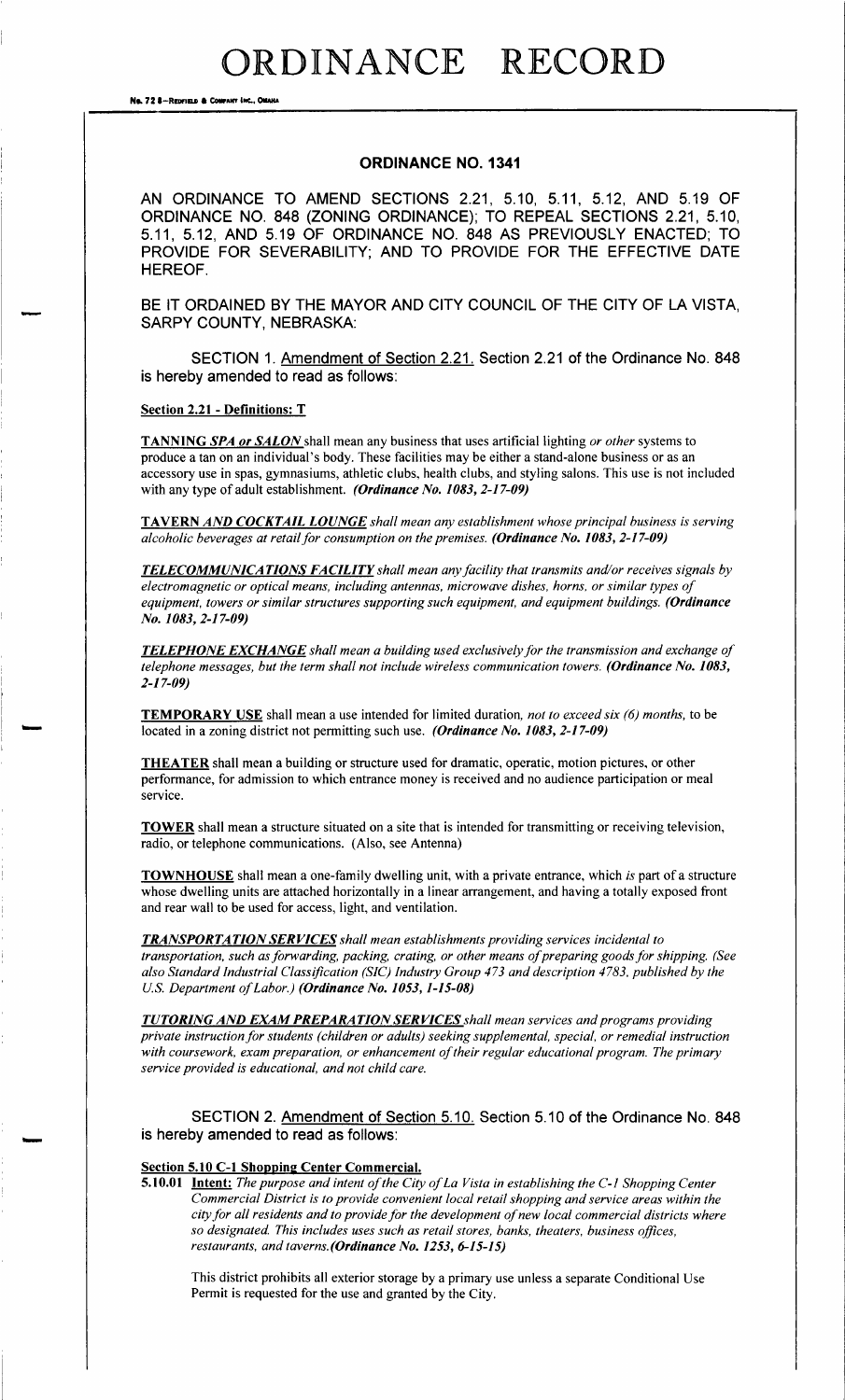No. 72 &-REDITELD & COMPANY INC., OMAN

#### ORDINANCE NO. 1341

AN ORDINANCE TO AMEND SECTIONS 2.21, 5.10, 5.11, 5.12, AND 5.19 OF ORDINANCE NO. 848 (ZONING ORDINANCE); TO REPEAL SECTIONS 2.21, 5.10, 5. 11, 5. 12, AND 5. 19 OF ORDINANCE NO. 848 AS PREVIOUSLY ENACTED; TO PROVIDE FOR SEVERABILITY; AND TO PROVIDE FOR THE EFFECTIVE DATE HEREOF.

BE IT ORDAINED BY THE MAYOR AND CITY COUNCIL OF THE CITY OF LA VISTA, SARPY COUNTY, NEBRASKA:

SECTION 1. Amendment of Section 2. 21. Section 2. 21 of the Ordinance No. 848 is hereby amended to read as follows:

Section 2.21 - Definitions: T

TANNING SPA or SALON shall mean any business that uses artificial lighting or other systems to produce a tan on an individual's body. These facilities may be either a stand-alone business or as an accessory use in spas, gymnasiums, athletic clubs, health clubs, and styling salons. This use is not included with any type of adult establishment. (Ordinance No. 1083, 2-17-09)

TAVERN AND COCKTAIL LOUNGE shall mean any establishment whose principal business is serving alcoholic beverages at retail for consumption on the premises. (Ordinance No. 1083, 2-17-09)

**TELECOMMUNICATIONS FACILITY** shall mean any facility that transmits and/or receives signals by electromagnetic or optical means, including antennas, microwave dishes, horns, or similar types of equipment, towers or similar structures supporting such equipment, and equipment buildings. (Ordinance No. 1083, 2-17-09)

TELEPHONE EXCHANGE shall mean a building used exclusively for the transmission and exchange of telephone messages, but the term shall not include wireless communication towers. (Ordinance No. 1083,  $2 - 17 - 09$ 

TEMPORARY USE shall mean a use intended for limited duration, not to exceed six (6) months, to be located in a zoning district not permitting such use. (Ordinance No. 1083, 2-17-09)

THEATER shall mean a building or structure used for dramatic, operatic, motion pictures, or other performance, for admission to which entrance money is received and no audience participation or meal service.

TOWER shall mean a structure situated on <sup>a</sup> site that is intended for transmitting or receiving television, radio, or telephone communications. ( Also, see Antenna)

TOWNHOUSE shall mean a one-family dwelling unit, with a private entrance, which is part of a structure whose dwelling units are attached horizontally in a linear arrangement, and having a totally exposed front and rear wall to be used for access, light, and ventilation.

**TRANSPORTATION SERVICES** shall mean establishments providing services incidental to transportation, such as forwarding, packing, crating, or other means of preparing goods for shipping. (See also Standard Industrial Classification( SIC) Industry Group 473 and description 4783, published by the U.S. Department of Labor.) (Ordinance No. 1053, 1-15-08)

**TUTORING AND EXAM PREPARATION SERVICES** shall mean services and programs providing private instruction for students( children or adults) seeking supplemental, special, or remedial instruction with coursework, exam preparation, or enhancement of their regular educational program. The primary service provided is educational, and not child care.

SECTION 2. Amendment of Section 5. 10. Section 5. 10 of the Ordinance No. 848 is hereby amended to read as follows:

#### Section 5.10 C-1 Shopping Center Commercial.

5.10.01 Intent: The purpose and intent of the City of La Vista in establishing the C-1 Shopping Center Commercial District is to provide convenient local retail shopping and service areas within the city for all residents and to provide for the development of new local commercial districts where so designated. This includes uses such as retail stores, banks, theaters, business offices, restaurants, and taverns. (Ordinance No. 1253, 6-15-15)

This district prohibits all exterior storage by a primary use unless a separate Conditional Use Permit is requested for the use and granted by the City.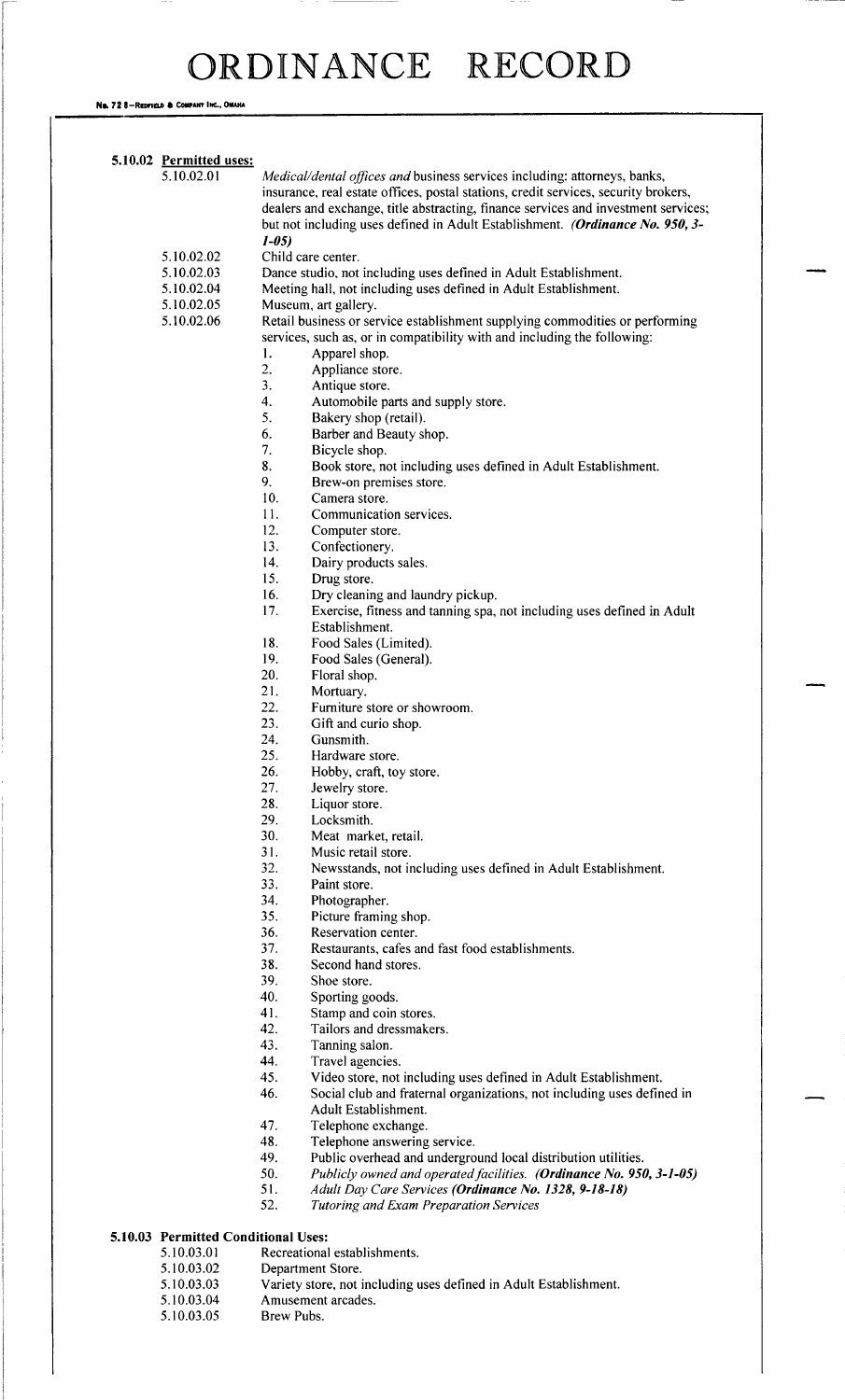No. 72 8-Redfield & Company Inc., Omaha

| 5.10.02 Permitted uses:             |                                                                                     |
|-------------------------------------|-------------------------------------------------------------------------------------|
| 5.10.02.01                          | Medical/dental offices and business services including: attorneys, banks,           |
|                                     | insurance, real estate offices, postal stations, credit services, security brokers, |
|                                     | dealers and exchange, title abstracting, finance services and investment services;  |
|                                     | but not including uses defined in Adult Establishment. (Ordinance No. 950, 3-       |
|                                     | $1 - 05$                                                                            |
| 5.10.02.02                          | Child care center.                                                                  |
| 5.10.02.03                          | Dance studio, not including uses defined in Adult Establishment.                    |
| 5.10.02.04                          | Meeting hall, not including uses defined in Adult Establishment.                    |
| 5.10.02.05                          | Museum, art gallery.                                                                |
| 5.10.02.06                          | Retail business or service establishment supplying commodities or performing        |
|                                     | services, such as, or in compatibility with and including the following:            |
|                                     | 1.<br>Apparel shop.                                                                 |
|                                     | 2.                                                                                  |
|                                     | Appliance store.<br>3.                                                              |
|                                     | Antique store.                                                                      |
|                                     | 4.<br>Automobile parts and supply store.                                            |
|                                     | 5.<br>Bakery shop (retail).                                                         |
|                                     | 6.<br>Barber and Beauty shop.                                                       |
|                                     | 7.<br>Bicycle shop.                                                                 |
|                                     | 8.<br>Book store, not including uses defined in Adult Establishment.                |
|                                     | 9.<br>Brew-on premises store.                                                       |
|                                     | 10.<br>Camera store.                                                                |
|                                     | 11.<br>Communication services.                                                      |
|                                     | 12.<br>Computer store.                                                              |
|                                     | 13.<br>Confectionery.                                                               |
|                                     | 14.<br>Dairy products sales.                                                        |
|                                     | 15.<br>Drug store.                                                                  |
|                                     | 16.<br>Dry cleaning and laundry pickup.                                             |
|                                     | 17.<br>Exercise, fitness and tanning spa, not including uses defined in Adult       |
|                                     | Establishment.                                                                      |
|                                     | 18.<br>Food Sales (Limited).                                                        |
|                                     | 19.<br>Food Sales (General).                                                        |
|                                     | 20.<br>Floral shop.                                                                 |
|                                     | 21.                                                                                 |
|                                     | Mortuary.                                                                           |
|                                     | 22.<br>Furniture store or showroom.                                                 |
|                                     | 23.<br>Gift and curio shop.                                                         |
|                                     | 24.<br>Gunsmith.                                                                    |
|                                     | 25.<br>Hardware store.                                                              |
|                                     | 26.<br>Hobby, craft, toy store.                                                     |
|                                     | 27.<br>Jewelry store.                                                               |
|                                     | 28.<br>Liquor store.                                                                |
|                                     | 29.<br>Locksmith.                                                                   |
|                                     | 30.<br>Meat market, retail.                                                         |
|                                     | 31.<br>Music retail store.                                                          |
|                                     | 32.<br>Newsstands, not including uses defined in Adult Establishment.               |
|                                     | 33.<br>Paint store.                                                                 |
|                                     | 34.<br>Photographer.                                                                |
|                                     | 35.<br>Picture framing shop.                                                        |
|                                     | 36.<br>Reservation center.                                                          |
|                                     | 37.<br>Restaurants, cafes and fast food establishments.                             |
|                                     | 38.<br>Second hand stores.                                                          |
|                                     | 39.<br>Shoe store.                                                                  |
|                                     | 40.                                                                                 |
|                                     | Sporting goods.<br>41.                                                              |
|                                     | Stamp and coin stores.                                                              |
|                                     | 42.<br>Tailors and dressmakers.                                                     |
|                                     | 43.<br>Tanning salon.                                                               |
|                                     | 44.<br>Travel agencies.                                                             |
|                                     | 45.<br>Video store, not including uses defined in Adult Establishment.              |
|                                     | 46.<br>Social club and fraternal organizations, not including uses defined in       |
|                                     | Adult Establishment.                                                                |
|                                     | 47.<br>Telephone exchange.                                                          |
|                                     | 48.<br>Telephone answering service.                                                 |
|                                     | 49.<br>Public overhead and underground local distribution utilities.                |
|                                     | 50.<br>Publicly owned and operated facilities. (Ordinance No. 950, 3-1-05)          |
|                                     | 51.<br>Adult Day Care Services (Ordinance No. 1328, 9-18-18)                        |
|                                     | 52.<br><b>Tutoring and Exam Preparation Services</b>                                |
|                                     |                                                                                     |
| 5.10.03 Permitted Conditional Uses: |                                                                                     |
| 5.10.03.01                          | Recreational establishments.                                                        |
| 5.10.03.02                          | Department Store.                                                                   |
| 5.10.03.03                          | Variety store, not including uses defined in Adult Establishment.                   |
| 5.10.03.04                          | Amusement arcades.                                                                  |
| 5.10.03.05                          | Brew Pubs.                                                                          |
|                                     |                                                                                     |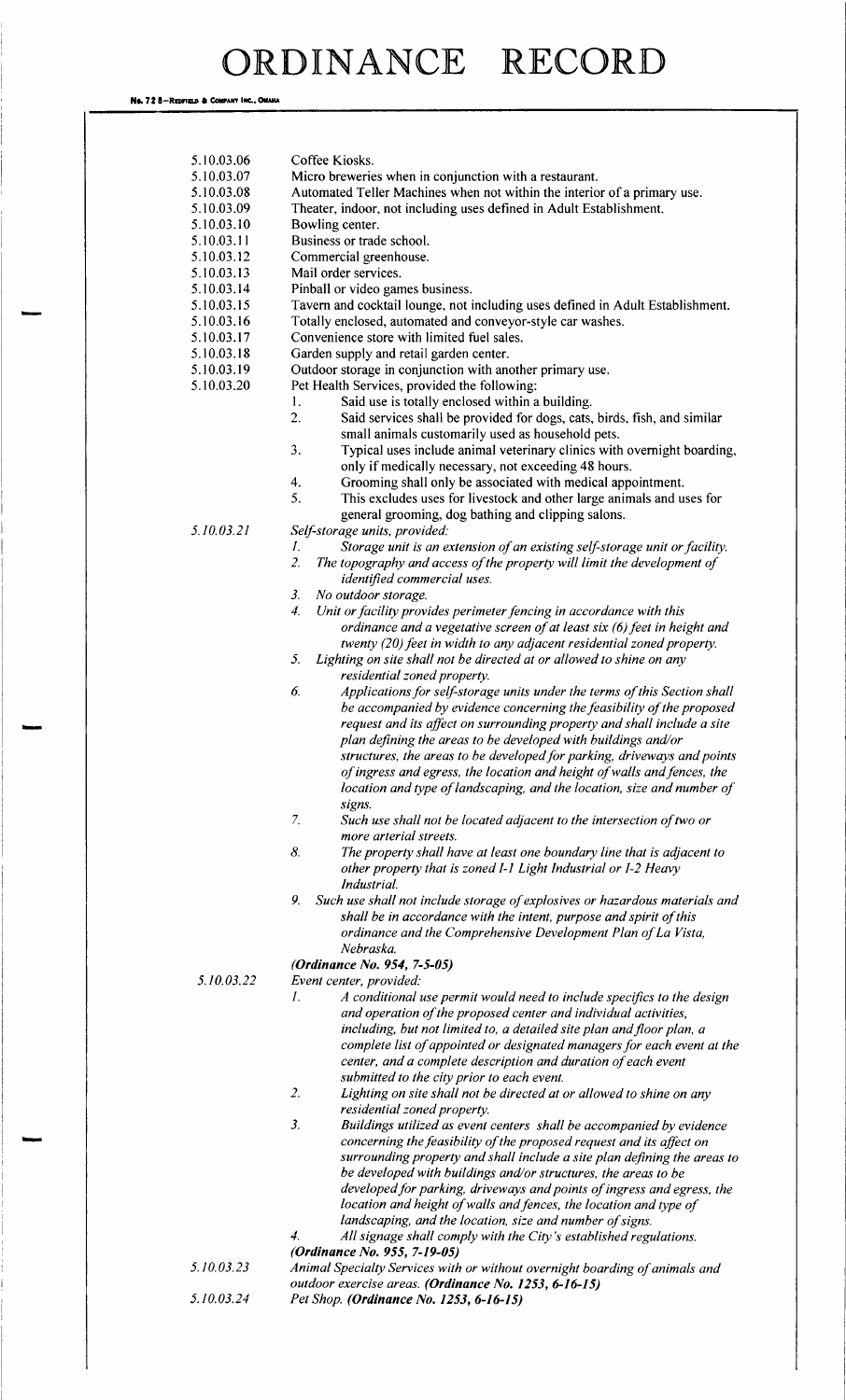No. 72 8-REDFIELD & COMPANY INC., OMAHA

| 5.10.03.06 | Coffee Kiosks.                                                                          |
|------------|-----------------------------------------------------------------------------------------|
| 5.10.03.07 | Micro breweries when in conjunction with a restaurant.                                  |
| 5.10.03.08 | Automated Teller Machines when not within the interior of a primary use.                |
| 5.10.03.09 | Theater, indoor, not including uses defined in Adult Establishment.                     |
|            |                                                                                         |
| 5.10.03.10 | Bowling center.                                                                         |
| 5.10.03.11 | Business or trade school.                                                               |
| 5.10.03.12 | Commercial greenhouse.                                                                  |
| 5.10.03.13 | Mail order services.                                                                    |
| 5.10.03.14 | Pinball or video games business.                                                        |
| 5.10.03.15 | Tavern and cocktail lounge, not including uses defined in Adult Establishment.          |
| 5.10.03.16 | Totally enclosed, automated and conveyor-style car washes.                              |
| 5.10.03.17 | Convenience store with limited fuel sales.                                              |
| 5.10.03.18 | Garden supply and retail garden center.                                                 |
| 5.10.03.19 | Outdoor storage in conjunction with another primary use.                                |
| 5.10.03.20 | Pet Health Services, provided the following:                                            |
|            | Said use is totally enclosed within a building.<br>1.                                   |
|            | 2.<br>Said services shall be provided for dogs, cats, birds, fish, and similar          |
|            | small animals customarily used as household pets.                                       |
|            | 3.<br>Typical uses include animal veterinary clinics with overnight boarding,           |
|            | only if medically necessary, not exceeding 48 hours.                                    |
|            | Grooming shall only be associated with medical appointment.<br>4.                       |
|            | 5.<br>This excludes uses for livestock and other large animals and uses for             |
|            | general grooming, dog bathing and clipping salons.                                      |
| 5.10.03.21 |                                                                                         |
|            | Self-storage units, provided:                                                           |
|            | Storage unit is an extension of an existing self-storage unit or facility.<br>I.        |
|            | 2.<br>The topography and access of the property will limit the development of           |
|            | identified commercial uses.                                                             |
|            | No outdoor storage.<br>3.                                                               |
|            | Unit or facility provides perimeter fencing in accordance with this<br>4.               |
|            | ordinance and a vegetative screen of at least six (6) feet in height and                |
|            | twenty (20) feet in width to any adjacent residential zoned property.                   |
|            | 5.<br>Lighting on site shall not be directed at or allowed to shine on any              |
|            | residential zoned property.                                                             |
|            | Applications for self-storage units under the terms of this Section shall<br>6.         |
|            | be accompanied by evidence concerning the feasibility of the proposed                   |
|            | request and its affect on surrounding property and shall include a site                 |
|            | plan defining the areas to be developed with buildings and/or                           |
|            | structures, the areas to be developed for parking, driveways and points                 |
|            | of ingress and egress, the location and height of walls and fences, the                 |
|            | location and type of landscaping, and the location, size and number of                  |
|            | signs.                                                                                  |
|            | 7.<br>Such use shall not be located adjacent to the intersection of two or              |
|            | more arterial streets.                                                                  |
|            | 8.<br>The property shall have at least one boundary line that is adjacent to            |
|            | other property that is zoned I-1 Light Industrial or I-2 Heavy                          |
|            | Industrial.                                                                             |
|            | 9.<br>Such use shall not include storage of explosives or hazardous materials and       |
|            |                                                                                         |
|            | shall be in accordance with the intent, purpose and spirit of this                      |
|            | ordinance and the Comprehensive Development Plan of La Vista,<br>Nebraska.              |
|            | (Ordinance No. 954, 7-5-05)                                                             |
| 5.10.03.22 |                                                                                         |
|            | Event center, provided:                                                                 |
|            | A conditional use permit would need to include specifics to the design<br>Ι.            |
|            | and operation of the proposed center and individual activities,                         |
|            | including, but not limited to, a detailed site plan and floor plan, a                   |
|            | complete list of appointed or designated managers for each event at the                 |
|            | center, and a complete description and duration of each event                           |
|            | submitted to the city prior to each event.                                              |
|            | 2.<br>Lighting on site shall not be directed at or allowed to shine on any              |
|            | residential zoned property.                                                             |
|            | $\mathfrak{Z}.$<br>Buildings utilized as event centers shall be accompanied by evidence |
|            | concerning the feasibility of the proposed request and its affect on                    |
|            | surrounding property and shall include a site plan defining the areas to                |
|            | be developed with buildings and/or structures, the areas to be                          |
|            | developed for parking, driveways and points of ingress and egress, the                  |
|            | location and height of walls and fences, the location and type of                       |
|            | landscaping, and the location, size and number of signs.                                |
|            | All signage shall comply with the City's established regulations.<br>4.                 |
|            | (Ordinance No. 955, 7-19-05)                                                            |
| 5.10.03.23 | Animal Specialty Services with or without overnight boarding of animals and             |
|            | outdoor exercise areas. (Ordinance No. 1253, 6-16-15)                                   |

5.10.03.24 Pet Shop. (**Ordinance No. 1253, 6-16-15**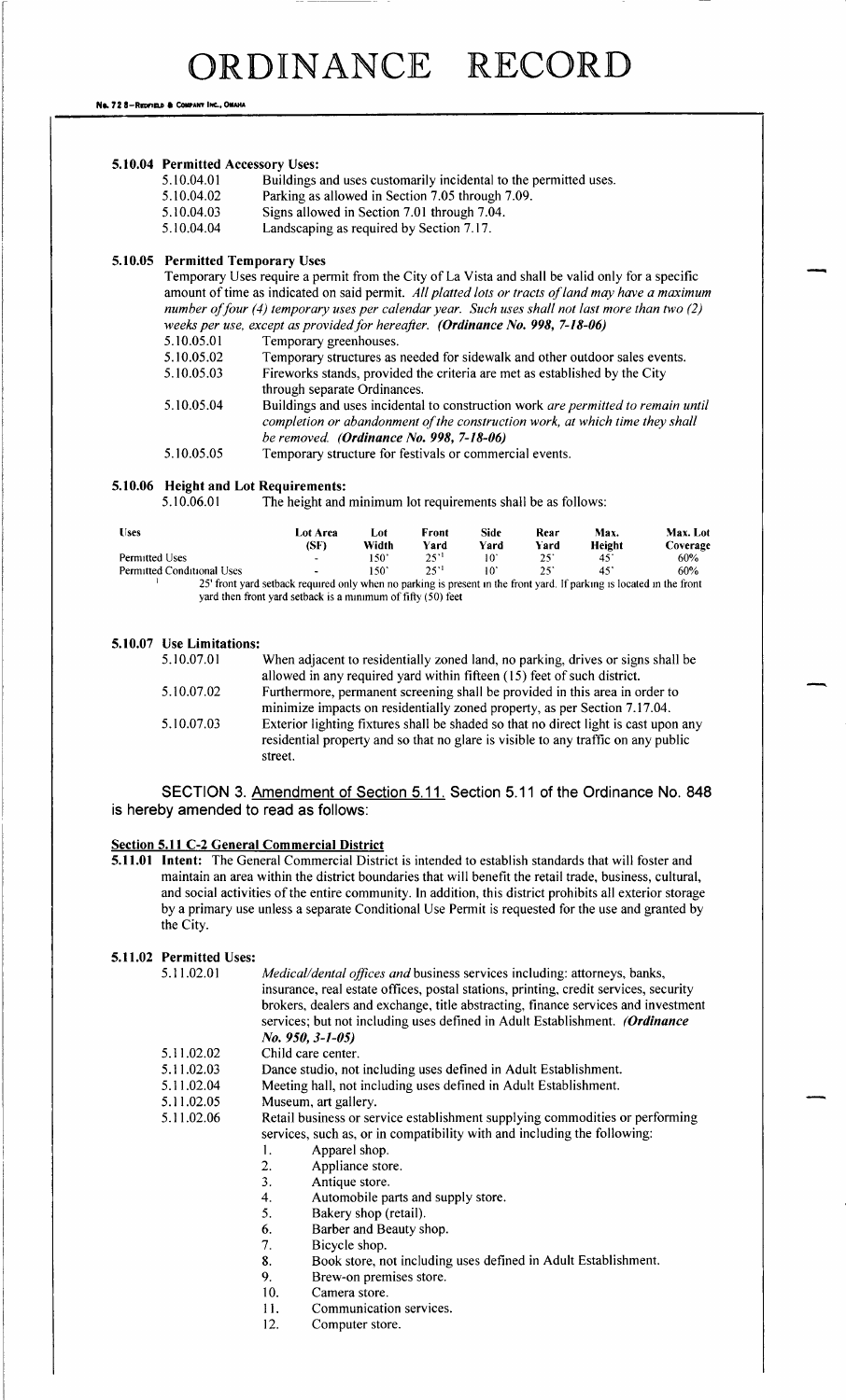No. 72 8-REDFIELD & COMPANY INC., OMAHA

|  |  | 5.10.04 Permitted Accessory Uses: |  |  |
|--|--|-----------------------------------|--|--|
|--|--|-----------------------------------|--|--|

- 5.10.04.01 Buildings and uses customarily incidental to the permitted uses.<br>5.10.04.02 Parking as allowed in Section 7.05 through 7.09.
- 5. 10. 04. 02 Parking as allowed in Section 7. 05 through 7. 09.<br>5. 10. 04. 03 Signs allowed in Section 7. 01 through 7. 04.
- Signs allowed in Section 7.01 through 7.04.
- 5. 10. 04. 04 Landscaping as required by Section 7. 17.

#### 5.10.05 Permitted Temporary Uses

Temporary Uses require <sup>a</sup> permit from the City of La Vista and shall be valid only for <sup>a</sup> specific amount of time as indicated on said permit. All platted lots or tracts of land may have a maximum number of four (4) temporary uses per calendar year. Such uses shall not last more than two (2) weeks per use, except as provided for hereafter. (Ordinance No. 998, 7-18-06)

| 5.10.05.01 | Temporary greenhouses.                                                                                                                                           |
|------------|------------------------------------------------------------------------------------------------------------------------------------------------------------------|
| 5.10.05.02 | Temporary structures as needed for sidewalk and other outdoor sales events.                                                                                      |
| 5.10.05.03 | Fireworks stands, provided the criteria are met as established by the City                                                                                       |
|            | through separate Ordinances.                                                                                                                                     |
| 5.10.05.04 | Buildings and uses incidental to construction work are permitted to remain until<br>completion or abandonment of the construction work, at which time they shall |
|            | be removed. (Ordinance No. 998, $7-18-06$ )                                                                                                                      |
| 5.10.05.05 | Temporary structure for festivals or commercial events.                                                                                                          |

#### 5.10.06 Height and Lot Requirements:

5.10.06.01 The height and minimum lot requirements shall be as follows:

| <b>Uses</b>                                                                                                           | Lot Area       | Lot           | Front | Side            | Rear | Max.   | Max. Lot |
|-----------------------------------------------------------------------------------------------------------------------|----------------|---------------|-------|-----------------|------|--------|----------|
|                                                                                                                       | (SF)           | Width         | Yard  | Yard            | Yard | Height | Coverage |
| Permitted Uses                                                                                                        | $\blacksquare$ | 150'          | 251   | $10^{\circ}$    | 25.  | 45.    | 60%      |
| Permitted Conditional Uses                                                                                            | ۰.             | $150^{\circ}$ | 251   | 10 <sup>1</sup> |      | 45     | 60%      |
| 25' front yard setback required only when no parking is present in the front yard. If parking is located in the front |                |               |       |                 |      |        |          |

yard then front yard setback is <sup>a</sup> minimum of fifty( 50) feet

#### 5. 10.07 Use Limitations:

| When adjacent to residentially zoned land, no parking, drives or signs shall be                                                                                                     |
|-------------------------------------------------------------------------------------------------------------------------------------------------------------------------------------|
| allowed in any required yard within fifteen (15) feet of such district.                                                                                                             |
| Furthermore, permanent screening shall be provided in this area in order to                                                                                                         |
| minimize impacts on residentially zoned property, as per Section 7.17.04.                                                                                                           |
| Exterior lighting fixtures shall be shaded so that no direct light is cast upon any<br>residential property and so that no glare is visible to any traffic on any public<br>street. |
|                                                                                                                                                                                     |

SECTION 3. Amendment of Section 5. 11. Section 5. 11 of the Ordinance No. 848 is hereby amended to read as follows:

#### Section 5.11 C-2 General Commercial District

5. 11. <sup>01</sup> Intent: The General Commercial District is intended to establish standards that will foster and maintain an area within the district boundaries that will benefit the retail trade, business, cultural, and social activities of the entire community. In addition, this district prohibits all exterior storage by a primary use unless a separate Conditional Use Permit is requested for the use and granted by the City.

#### 5.11.02 Permitted Uses:

| 5.11.02.01 | Medical/dental offices and business services including: attorneys, banks,<br>insurance, real estate offices, postal stations, printing, credit services, security<br>brokers, dealers and exchange, title abstracting, finance services and investment<br>services; but not including uses defined in Adult Establishment. (Ordinance<br>$No. 950, 3-1-05)$ |
|------------|-------------------------------------------------------------------------------------------------------------------------------------------------------------------------------------------------------------------------------------------------------------------------------------------------------------------------------------------------------------|
| 5.11.02.02 | Child care center.                                                                                                                                                                                                                                                                                                                                          |
| 5.11.02.03 | Dance studio, not including uses defined in Adult Establishment.                                                                                                                                                                                                                                                                                            |
| 5.11.02.04 | Meeting hall, not including uses defined in Adult Establishment.                                                                                                                                                                                                                                                                                            |
| 5.11.02.05 | Museum, art gallery.                                                                                                                                                                                                                                                                                                                                        |
| 5.11.02.06 | Retail business or service establishment supplying commodities or performing                                                                                                                                                                                                                                                                                |

- 5.11.02.06 Retail business or service establishment supplying commodities or performin services, such as, or in compatibility with and including the following:
	-
	- 1. Apparel shop.<br>2. Appliance stor Appliance store.
	- 3. Antique store.
	- 4. Automobile parts and supply store.<br>5. Bakery shop (retail).
	-
	- 5. Bakery shop (retail).<br>6. Barber and Beauty s. 6. Barber and Beauty shop.<br>7. Bicycle shop.
	-
	- 7. Bicycle shop.<br>8. Book store, n 8. Book store, not including uses defined in Adult Establishment.<br>9. Brew-on premises store.
	- 9. Brew-on premises store.<br>10. Camera store.
	- Camera store.
	- 11. Communication services.
	- 12. Computer store.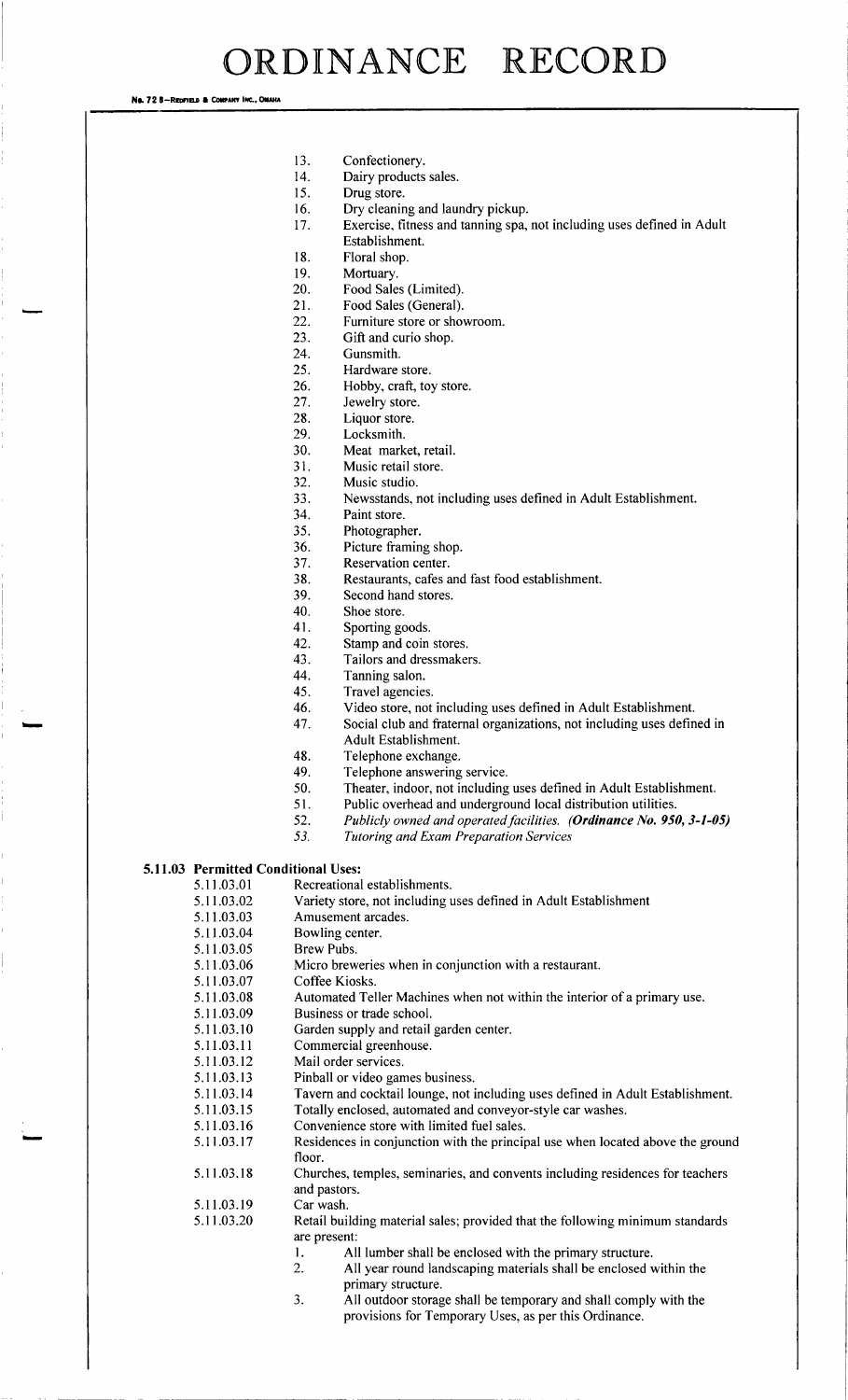No. 72 8-Reprised & Company Inc., One

- 13. Confectionery.<br>14 Dairy products
- 14. Dairy products sales.<br>15. Drug store.
- Drug store.
- 16. Dry cleaning and laundry pickup.<br>17. Exercise, fitness and tanning spa,
- Exercise, fitness and tanning spa, not including uses defined in Adult Establishment.
- 18. Floral shop.<br>19 Mortuary
- 19. Mortuary.<br>20. Food Sale
- Food Sales (Limited).
- 21. Food Sales (General).
- 22. Furniture store or showroom.
- 23. Gift and curio shop.
- 24. Gunsmith.
- 25. Hardware store.
- 26. Hobby, craft, toy store.<br>27. Jewelry store.
- 27. Jewelry store.<br>28. Liquor store.
- Liquor store.
- 29. Locksmith.
- 30. Meat market, retail.
- 31. Music retail store. 32. Music studio.
- 33. Newsstands, not including uses defined in Adult Establishment.
- Paint store.
- 35. Photographer.
- 
- 36. Picture framing shop.<br>37. Reservation center. Reservation center.
- 38. Restaurants, cafes and fast food establishment.
- 39. Second hand stores.
- 40. Shoe store.
- 41. Sporting goods.<br>42. Stamp and coin
- 42. Stamp and coin stores.<br>43. Tailors and dressmake
- Tailors and dressmakers.
- 44. Tanning salon.<br>45. Travel agencies
- Travel agencies.
- 46. Video store, not including uses defined in Adult Establishment.<br>47. Social club and fraternal organizations, not including uses defin
	- Social club and fraternal organizations, not including uses defined in Adult Establishment.
- 48. Telephone exchange.
- 49. Telephone answering service.<br>50. Theater. indoor, not including
- 50. Theater, indoor, not including uses defined in Adult Establishment.<br>51. Public overhead and underground local distribution utilities.
- Public overhead and underground local distribution utilities.
- 52. Publicly owned and operated facilities. (**Ordinance No. 950, 3-1-05)**<br>53. Tutoring and Exam Prenaration Services
- **Tutoring and Exam Preparation Services**

#### 5.11.03 Permitted Conditional Uses:

- 5.11.03.01 Recreational establishments.<br>5.11.03.02 Variety store, not including u
- 5. 11.03.02 Variety store, not including uses defined in Adult Establishment<br>5. 11.03.03 Amusement arcades.
	- Amusement arcades.
- 5.11.03.04 Bowling center.<br>5.11.03.05 Brew Pubs.
	- Brew Pubs.
- 5. 11. 03. 06 Micro breweries when in conjunction with a restaurant.
- 5.11.03.07 Coffee Kiosks.
- 5. 11.03.08 Automated Teller Machines when not within the interior of a primary use.<br>5.11.03.09 Business or trade school.
- Business or trade school.
- 5.11.03.10 Garden supply and retail garden center.<br>5.11.03.11 Commercial greenhouse.
- 5.11.03.11 Commercial greenhouse.<br>5.11.03.12 Mail order services.
- Mail order services.
- 5. 11.03. 13 Pinball or video games business.<br>5. 11.03. 14 Tavern and cocktail lounge, not i
	- Tavern and cocktail lounge, not including uses defined in Adult Establishment.
- 5.11.03.15 Totally enclosed, automated and conveyor-style car washes.<br>5.11.03.16 Convenience store with limited fuel sales.
- Convenience store with limited fuel sales.

- 5. 11. 03. <sup>18</sup> Churches, temples, seminaries, and convents including residences for teachers
- and pastors.<br>Car wash. 5. 11. 03. 19
- 5. 11. 03. 20 Retail building material sales; provided that the following minimum standards are present:
	- 1. All lumber shall be enclosed with the primary structure.<br>2. All vear round landscaping materials shall be enclosed v
	- All year round landscaping materials shall be enclosed within the primary structure.
	- 3. All outdoor storage shall be temporary and shall comply with the provisions for Temporary Uses, as per this Ordinance.

<sup>5.</sup> 11. 03. 17 Residences in conjunction with the principal use when located above the ground floor.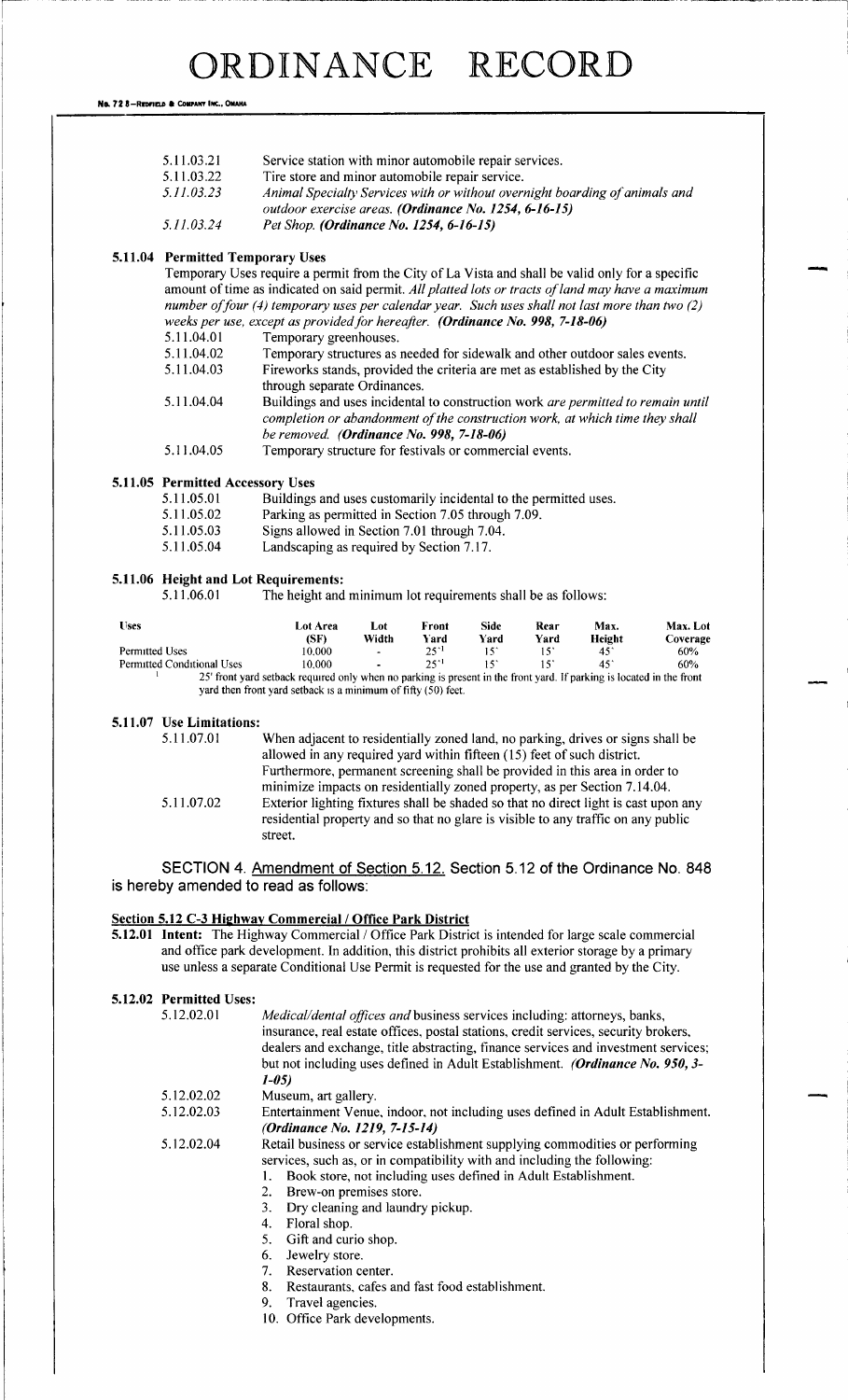No. 72 8-REDFIELD & COMPANY INC., OMAHA

|  | 5.11.03.21                                            | Service station with minor automobile repair services.                                                                                                                                                                                                                                                     |  |  |  |  |  |
|--|-------------------------------------------------------|------------------------------------------------------------------------------------------------------------------------------------------------------------------------------------------------------------------------------------------------------------------------------------------------------------|--|--|--|--|--|
|  | 5.11.03.22                                            | Tire store and minor automobile repair service.                                                                                                                                                                                                                                                            |  |  |  |  |  |
|  | 5.11.03.23                                            | Animal Specialty Services with or without overnight boarding of animals and<br>outdoor exercise areas. (Ordinance No. 1254, 6-16-15)                                                                                                                                                                       |  |  |  |  |  |
|  | 5.11.03.24<br>Pet Shop. (Ordinance No. 1254, 6-16-15) |                                                                                                                                                                                                                                                                                                            |  |  |  |  |  |
|  | <b>5.11.04 Permitted Temporary Uses</b>               |                                                                                                                                                                                                                                                                                                            |  |  |  |  |  |
|  |                                                       | Temporary Uses require a permit from the City of La Vista and shall be valid only for a specific<br>amount of time as indicated on said permit. All platted lots or tracts of land may have a maximum<br>number of four (4) temporary uses per calendar year. Such uses shall not last more than two $(2)$ |  |  |  |  |  |
|  |                                                       | weeks per use, except as provided for hereafter. (Ordinance No. 998, 7-18-06)                                                                                                                                                                                                                              |  |  |  |  |  |
|  | 5.11.04.01                                            | Temporary greenhouses.                                                                                                                                                                                                                                                                                     |  |  |  |  |  |
|  | 5.11.04.02                                            | Temporary structures as needed for sidewalk and other outdoor sales events.                                                                                                                                                                                                                                |  |  |  |  |  |
|  | 5.11.04.03                                            | Fireworks stands, provided the criteria are met as established by the City<br>through separate Ordinances.                                                                                                                                                                                                 |  |  |  |  |  |

- 5.11.04.04 Buildings and uses incidental to construction work are permitted to remain until completion or abandonment of the construction work, at which time they shall be removed. (Ordinance No. 998, 7-18-06)
- 5.11.04.05 Temporary structure for festivals or commercial events.

### 5.11.05 Permitted Accessory Uses<br>5.11.05.01 Buildings

- 5.11.05.01 Buildings and uses customarily incidental to the permitted uses.<br>5.11.05.02 Parking as permitted in Section 7.05 through 7.09.
- 5.11.05.02 Parking as permitted in Section 7.05 through 7.09.<br>5.11.05.03 Signs allowed in Section 7.01 through 7.04
	- Signs allowed in Section 7.01 through 7.04.
- 5. 11. 05. 04 Landscaping as required by Section 7. 17.

#### 5. 11. 06 Height and Lot Requirements:

5.11.06.01 The height and minimum lot requirements shall be as follows:

| <b>Uses</b>                | Lot Area<br>(SF)                                                                                                      | Lot<br>Width   | Front<br>Yard | Side<br>Yard | Rear<br>Yard | Max.<br>Height | Max. Lot<br>Coverage |
|----------------------------|-----------------------------------------------------------------------------------------------------------------------|----------------|---------------|--------------|--------------|----------------|----------------------|
| Permitted Uses             | 10.000                                                                                                                | $\bullet$      | 2511          |              |              | 451            | 60%                  |
| Permitted Conditional Uses | 10.000                                                                                                                | $\blacksquare$ | 251           |              |              | 45             | 60%                  |
|                            | 25' front vard setback required only when no parking is present in the front vard. If parking is located in the front |                |               |              |              |                |                      |

25' front yard setback required only when no parking is present in the front yard. If parking is located in the front yard then front yard setback is <sup>a</sup> minimum of fifty( 50) feet.

#### 5.11.07 Use Limitations:

5. 11. 07. <sup>01</sup> When adjacent to residentially zoned land, no parking, drives or signs shall be allowed in any required yard within fifteen (15) feet of such district. Furthermore, permanent screening shall be provided in this area in order to minimize impacts on residentially zoned property, as per Section 7. 14. 04. 5. 11. 07. <sup>02</sup> Exterior lighting fixtures shall be shaded so that no direct light is cast upon any residential property and so that no glare is visible to any traffic on any public street.

SECTION 4. Amendment of Section 5. 12. Section 5. 12 of the Ordinance No. 848 is hereby amended to read as follows:

#### Section 5.12 C-3 Highway Commercial / Office Park District

5.12.01 Intent: The Highway Commercial / Office Park District is intended for large scale commercial and office park development. In addition, this district prohibits all exterior storage by a primary use unless <sup>a</sup> separate Conditional Use Permit is requested for the use and granted by the City.

#### 5.12.02 Permitted Uses:

| 5.12.02.01 | <i>Medical/dental offices and</i> business services including: attorneys, banks,     |
|------------|--------------------------------------------------------------------------------------|
|            | insurance, real estate offices, postal stations, credit services, security brokers,  |
|            | dealers and exchange, title abstracting, finance services and investment services;   |
|            | but not including uses defined in Adult Establishment. <i>(Ordinance No. 950, 3-</i> |
|            | $1 - 0.5$                                                                            |

- 
- 5.12.02.02 Museum, art gallery.<br>5.12.02.03 Entertainment Venue Entertainment Venue, indoor, not including uses defined in Adult Establishment. (Ordinance No. 1219, 7-15-14)
- 5. 12. 02. 04 Retail business or service establishment supplying commodities or performing services, such as, or in compatibility with and including the following:
	- 1. Book store, not including uses defined in Adult Establishment.
	- 2. Brew-on premises store.
	- 3. Dry cleaning and laundry pickup.
	- 4. Floral shop.
	- 5. Gift and curio shop.
	- 6. Jewelry store.<br>7. Reservation ce
	- Reservation center.
	- 8. Restaurants, cafes and fast food establishment.
	- 9. Travel agencies.
	- 10. Office Park developments.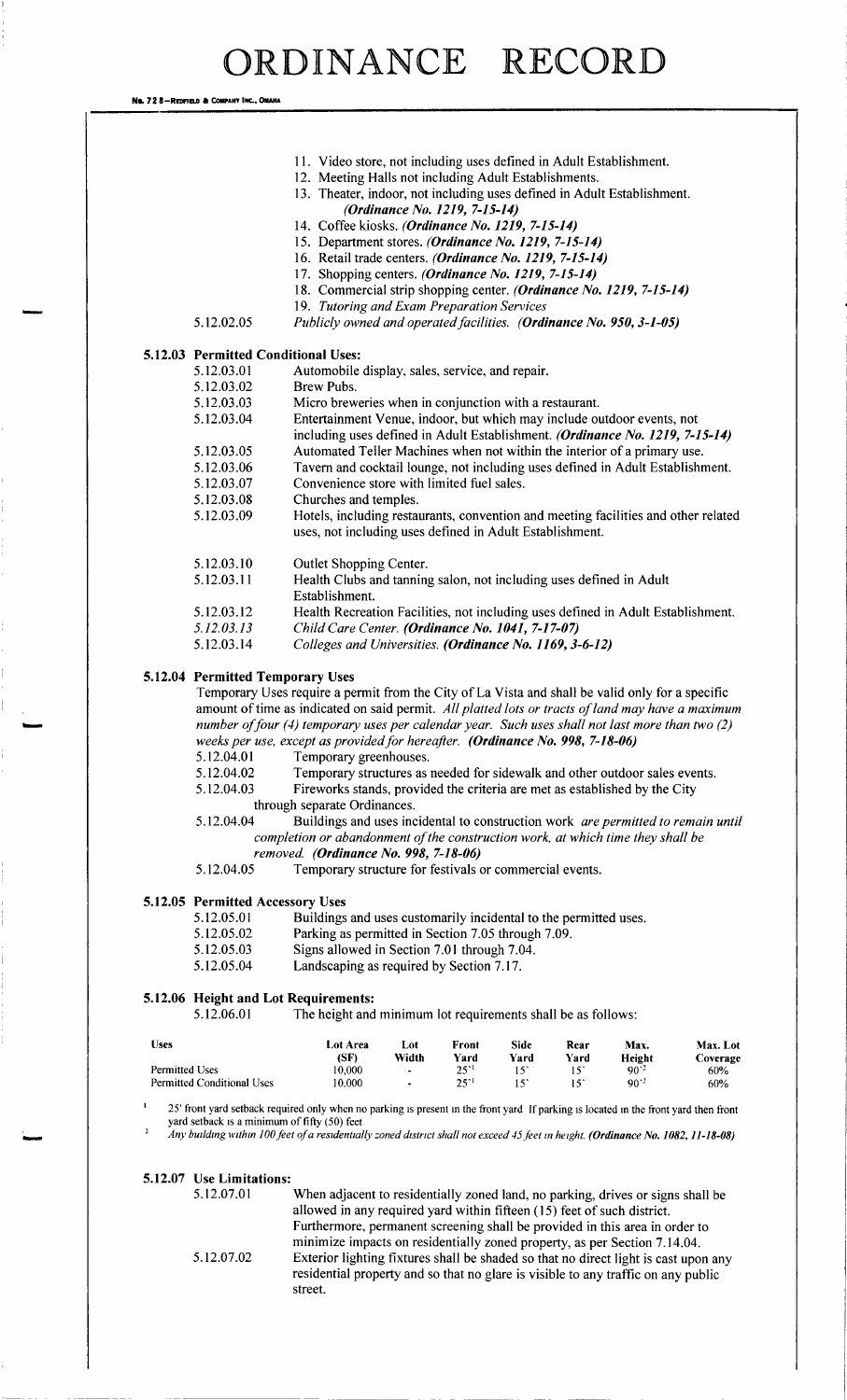Na. 72 8-REDFIELD & COMPANY INC., OMAHA

- 11. Video store, not including uses defined in Adult Establishment.
- 12. Meeting Halls not including Adult Establishments.
- 13. Theater, indoor, not including uses defined in Adult Establishment. (Ordinance No. 1219, 7-15-14)
- 14. Coffee kiosks. (Ordinance No. 1219, 7-15-14)
- 15. Department stores. (Ordinance No. 1219, 7-15-14)
- 16. Retail trade centers. (Ordinance No. 1219, 7-15-14)
- 17. Shopping centers. (Ordinance No. 1219, 7-15-14)
- 18. Commercial strip shopping center. (Ordinance No. 1219, 7-15-14)
- 19. Tutoring and Exam Preparation Services
- 

### 5.12.02.05 Publicly owned and operated facilities. (Ordinance No. 950, 3-1-05)

5.12.03 Permitted Conditional U

| Permitted Conditional Uses: |                                                                                    |
|-----------------------------|------------------------------------------------------------------------------------|
| 5.12.03.01                  | Automobile display, sales, service, and repair.                                    |
| 5.12.03.02                  | Brew Pubs.                                                                         |
| 5.12.03.03                  | Micro breweries when in conjunction with a restaurant.                             |
| 5.12.03.04                  | Entertainment Venue, indoor, but which may include outdoor events, not             |
|                             | including uses defined in Adult Establishment. (Ordinance No. 1219, 7-15-14)       |
| 5.12.03.05                  | Automated Teller Machines when not within the interior of a primary use.           |
| 5.12.03.06                  | Tavern and cocktail lounge, not including uses defined in Adult Establishment.     |
| 5.12.03.07                  | Convenience store with limited fuel sales.                                         |
| 5.12.03.08                  | Churches and temples.                                                              |
| 5.12.03.09                  | Hotels, including restaurants, convention and meeting facilities and other related |
|                             | uses, not including uses defined in Adult Establishment.                           |
|                             |                                                                                    |
| 5.12.03.10                  | Outlet Shopping Center.                                                            |
| 5.12.03.11                  | Health Clubs and tanning salon, not including uses defined in Adult                |
|                             | Establishment.                                                                     |
| 5.12.03.12                  | Health Recreation Facilities, not including uses defined in Adult Establishment.   |
| 5.12.03.13                  | Child Care Center. (Ordinance No. 1041, 7-17-07)                                   |
| 5.12.03.14                  | Colleges and Universities. (Ordinance No. 1169, 3-6-12)                            |

#### 5. 12. 04 Permitted Temporary Uses

Temporary Uses require <sup>a</sup> permit from the City of La Vista and shall be valid only for <sup>a</sup> specific amount of time as indicated on said permit. All platted lots or tracts of land may have a maximum number of four (4) temporary uses per calendar year. Such uses shall not last more than two  $(2)$ weeks per use, except as provided for hereafter. (Ordinance No. 998, 7-18-06)<br>5.12.04.01 Temporary greenhouses.

- 5. 12.04.01 Temporary greenhouses.<br>5.12.04.02 Temporary structures as
- 5. 12. 04. 02 Temporary structures as needed for sidewalk and other outdoor sales events.<br>5. 12. 04. 03 Fireworks stands, provided the criteria are met as established by the City
- Fireworks stands, provided the criteria are met as established by the City
- through separate Ordinances.
- 5.12.04.04 Buildings and uses incidental to construction work are permitted to remain until completion or abandonment of the construction work, at which time they shall be removed. (Ordinance No. 998, 7-18-06)
- 5. 12. 04. 05 Temporary structure for festivals or commercial events.

### 5.12.05 Permitted Accessory Uses<br>5.12.05.01 Buildings

- 5. 12. 05. 01 Buildings and uses customarily incidental to the permitted uses.<br>5. 12. 05. 02 Parking as permitted in Section 7.05 through 7.09.
- 5. 12. 05. 02 Parking as permitted in Section 7.05 through 7.09.<br>5. 12. 05. 03 Signs allowed in Section 7.01 through 7.04.
- Signs allowed in Section 7.01 through 7.04.
- 5. 12. 05. 04 Landscaping as required by Section 7. 17.

#### 5. 12. 06 Height and Lot Requirements:

5. 12. 06. 01 The height and minimum lot requirements shall be as follows:

| Uses                              | <b>Lot Area</b><br>(SF) | Lot<br>Width             | Front<br>Yard | Side<br>Yard | Rear<br>Yard | Max.<br>Height  | Max. Lot<br>Coverage |
|-----------------------------------|-------------------------|--------------------------|---------------|--------------|--------------|-----------------|----------------------|
| Permitted Uses                    | 10.000                  | $\overline{\phantom{0}}$ | $25^{\circ}$  |              |              | 90.3            | 60%                  |
| <b>Permitted Conditional Uses</b> | 10.000                  | $\overline{\phantom{a}}$ | つくり           |              |              | 90 <sup>2</sup> | 60%                  |

25' front yard setback required only when no parking is present in the front yard If parking is located in the front yard then front yard setback is a minimum of fifty (50) feet

Any building within 100 feet of a residentially zoned district shall not exceed 45 feet in height. (Ordinance No. 1082, 11-18-08)

#### 5.12.07 Use Limitations:

2

m.

5. 12. 07. <sup>01</sup> When adjacent to residentially zoned land, no parking, drives or signs shall be allowed in any required yard within fifteen( 15) feet of such district. Furthermore, permanent screening shall be provided in this area in order to minimize impacts on residentially zoned property, as per Section 7. 14. 04. 5. 12. 07. <sup>02</sup> Exterior lighting fixtures shall be shaded so that no direct light is cast upon any residential property and so that no glare is visible to any traffic on any public street.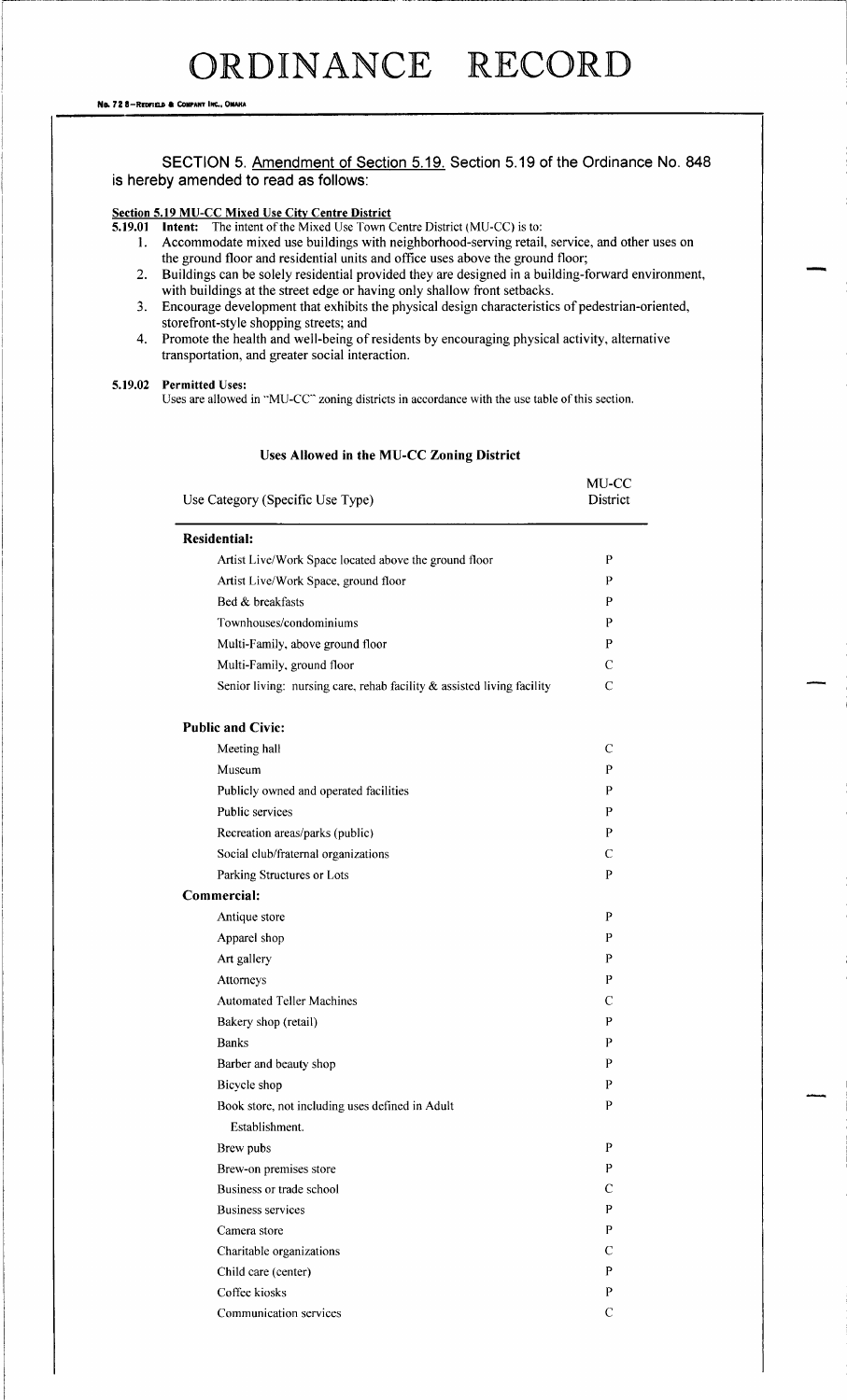#### SECTION 5. Amendment of Section 5. 19. Section 5. 19 of the Ordinance No. 848 is hereby amended to read as follows:

#### <u>Section 5.19 MU-CC Mixed Use City Centre Distric</u>

**5.19.01 Intent:** The intent of the Mixed Use Town Centre District (MU-CC) is to:

- 1. Accommodate mixed use buildings with neighborhood- serving retail, service, and other uses on the ground floor and residential units and office uses above the ground floor;
- 2. Buildings can be solely residential provided they are designed in <sup>a</sup> building- forward environment, with buildings at the street edge or having only shallow front setbacks.
- 3. Encourage development that exhibits the physical design characteristics of pedestrian- oriented, storefront-style shopping streets; and
- 4. Promote the health and well-being of residents by encouraging physical activity, alternative transportation, and greater social interaction.

#### 5.19.02 Permitted Uses:

Uses are allowed in "MU-CC" zoning districts in accordance with the use table of this section.

#### Uses Allowed in the MU-CC Zoning District

| Use Category (Specific Use Type)                                          | MU-CC<br>District |
|---------------------------------------------------------------------------|-------------------|
| <b>Residential:</b>                                                       |                   |
| Artist Live/Work Space located above the ground floor                     | P                 |
| Artist Live/Work Space, ground floor                                      | P                 |
| Bed & breakfasts                                                          | P                 |
| Townhouses/condominiums                                                   | P                 |
| Multi-Family, above ground floor                                          | P                 |
| Multi-Family, ground floor                                                | $\mathcal{C}$     |
| Senior living: nursing care, rehab facility $\&$ assisted living facility | $\mathcal{C}$     |
| <b>Public and Civic:</b>                                                  |                   |
| Meeting hall                                                              | $\mathcal{C}$     |
| Museum                                                                    | P                 |
| Publicly owned and operated facilities                                    | P                 |
| Public services                                                           | P                 |
| Recreation areas/parks (public)                                           | P                 |
| Social club/fraternal organizations                                       | C                 |
| Parking Structures or Lots                                                | P                 |
| Commercial:                                                               |                   |
| Antique store                                                             | P                 |
| Apparel shop                                                              | P                 |
| Art gallery                                                               | P                 |
| Attorneys                                                                 | P                 |
| <b>Automated Teller Machines</b>                                          | $\mathsf{C}$      |
| Bakery shop (retail)                                                      | P                 |
| <b>Banks</b>                                                              | P                 |
| Barber and beauty shop                                                    | P                 |
| Bicycle shop                                                              | P                 |
| Book store, not including uses defined in Adult                           | P                 |
| Establishment.                                                            |                   |
| Brew pubs                                                                 | P                 |
| Brew-on premises store                                                    | P                 |
| Business or trade school                                                  | C                 |
| <b>Business services</b>                                                  | P                 |
| Camera store                                                              | P                 |
| Charitable organizations                                                  | C                 |
| Child care (center)                                                       | P                 |
| Coffee kiosks                                                             | P                 |
| Communication services                                                    | $\mathbf C$       |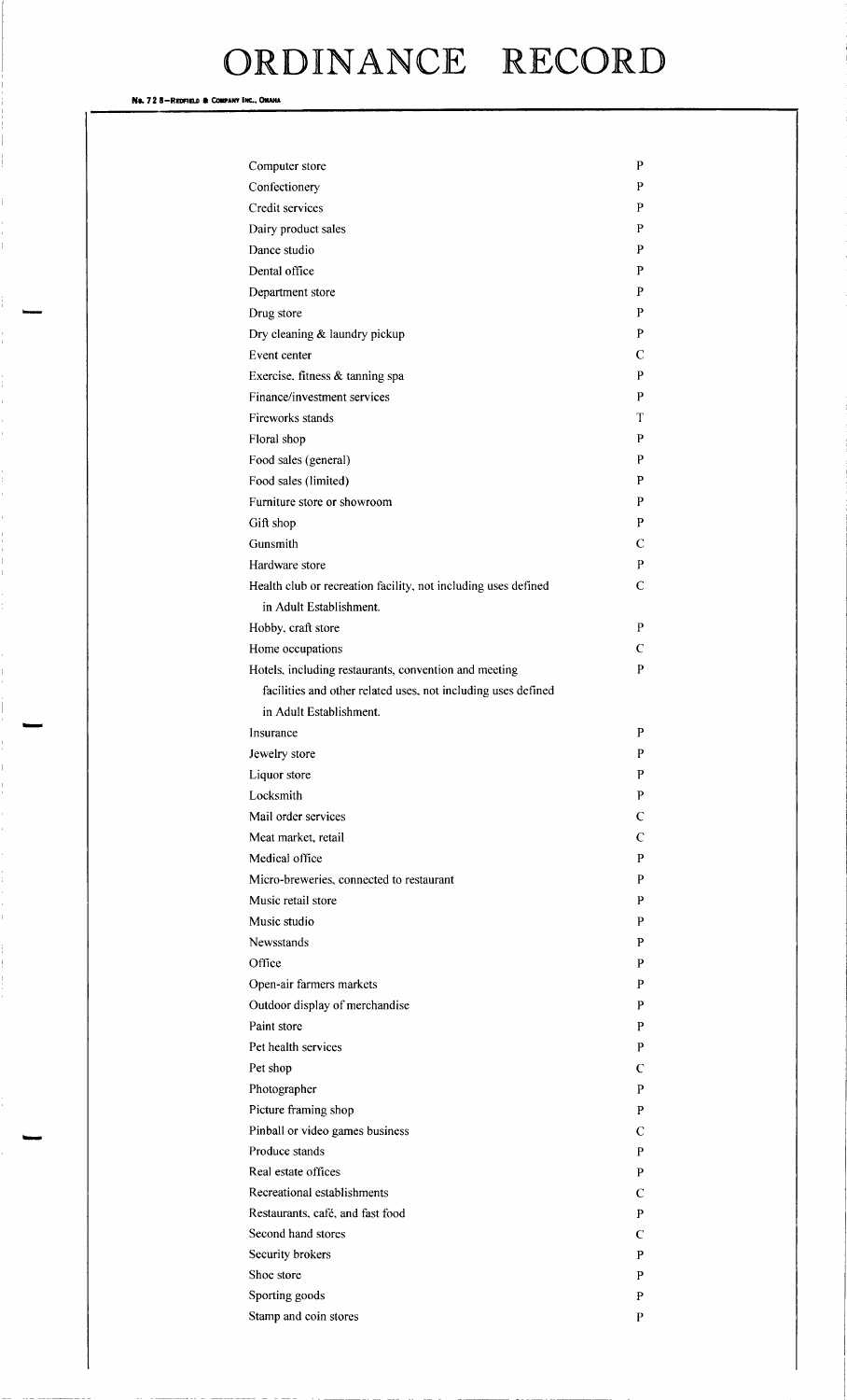No. 72 8-Redfield & Company Inc., Omaha

| Computer store                                                 | P |
|----------------------------------------------------------------|---|
| Confectionery                                                  | P |
| Credit services                                                | P |
| Dairy product sales                                            | P |
| Dance studio                                                   | P |
| Dental office                                                  | P |
| Department store                                               | P |
| Drug store                                                     | P |
| Dry cleaning & laundry pickup                                  | P |
| Event center                                                   | С |
| Exercise, fitness & tanning spa                                | P |
| Finance/investment services                                    | P |
| Fireworks stands                                               | T |
| Floral shop                                                    | P |
| Food sales (general)                                           | P |
| Food sales (limited)                                           | P |
| Furniture store or showroom                                    | P |
| Gift shop                                                      | P |
| Gunsmith                                                       | C |
| Hardware store                                                 | P |
| Health club or recreation facility, not including uses defined | C |
| in Adult Establishment.                                        |   |
|                                                                | P |
| Hobby, craft store                                             |   |
| Home occupations                                               | C |
| Hotels, including restaurants, convention and meeting          | P |
| facilities and other related uses, not including uses defined  |   |
| in Adult Establishment.                                        |   |
| Insurance                                                      | P |
| Jewelry store                                                  | P |
| Liquor store                                                   | P |
| Locksmith                                                      | P |
| Mail order services                                            | C |
| Meat market, retail                                            | C |
| Medical office                                                 | P |
| Micro-breweries, connected to restaurant                       | P |
| Music retail store                                             | P |
| Music studio                                                   | P |
| <b>Newsstands</b>                                              | P |
| Office                                                         | P |
| Open-air farmers markets                                       | P |
| Outdoor display of merchandise                                 | P |
| Paint store                                                    | P |
| Pet health services                                            | P |
| Pet shop                                                       | C |
| Photographer                                                   | P |
| Picture framing shop                                           | P |
| Pinball or video games business                                | С |
| Produce stands                                                 | P |
| Real estate offices                                            | P |
| Recreational establishments                                    | C |
| Restaurants, café, and fast food                               | P |
| Second hand stores                                             | C |
| Security brokers                                               | P |
| Shoe store                                                     | P |
| Sporting goods                                                 | P |
| Stamp and coin stores                                          | P |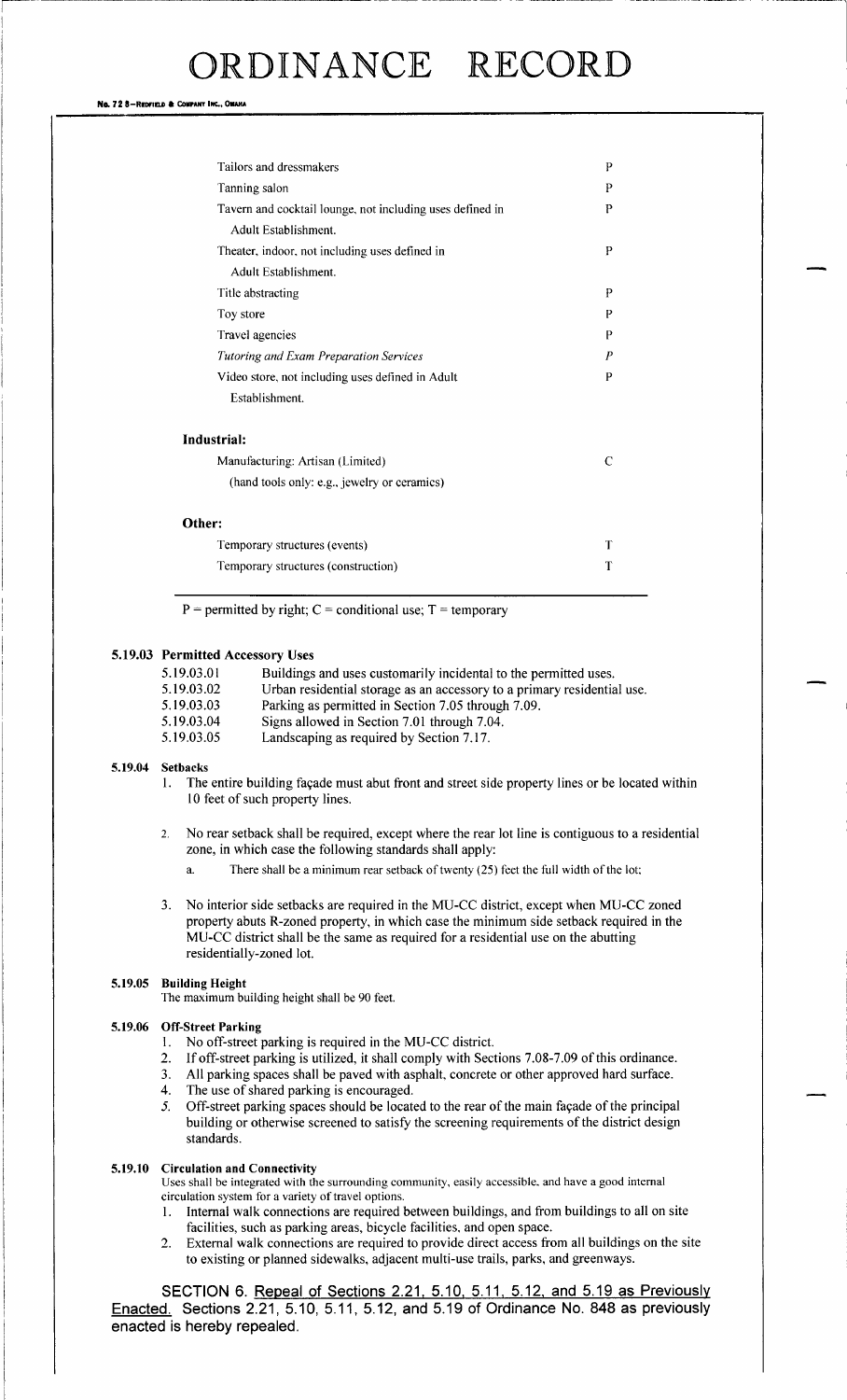#### No. 72 8-REDFIELD & COMPANY INC., OMAHA

| Tailors and dressmakers                                   | P |
|-----------------------------------------------------------|---|
| Tanning salon                                             |   |
| Tavern and cocktail lounge, not including uses defined in |   |
| Adult Establishment.                                      |   |
| Theater, indoor, not including uses defined in            | P |
| Adult Establishment.                                      |   |
| Title abstracting                                         | P |
| Toy store                                                 | P |
| Travel agencies                                           | P |
| <b>Tutoring and Exam Preparation Services</b>             | P |
| Video store, not including uses defined in Adult          | P |
| Establishment.                                            |   |
| Industrial:                                               |   |
| Manufacturing: Artisan (Limited)                          | C |
| (hand tools only: e.g., jewelry or ceramics)              |   |
| Other:                                                    |   |
| Temporary structures (events)                             | T |
|                                                           |   |

 $P =$  permitted by right;  $C =$  conditional use;  $T =$  temporary

#### 5. 19.03 Permitted Accessory Uses

| 5.19.03.01 | Buildings and uses customarily incidental to the permitted uses.              |
|------------|-------------------------------------------------------------------------------|
| 5.10.03.02 | $\text{I}$ trhan residential storage as an accessory to a primary residential |

Temporary structures (construction) T

- 5. 19.03. 02 Urban residential storage as an accessory to a primary residential use.<br>5. 19.03. 03 Parking as permitted in Section 7.05 through 7.09.
- 5. 19.03. 03 Parking as permitted in Section 7.05 through 7.09.<br>5.19.03.04 Signs allowed in Section 7.01 through 7.04 Signs allowed in Section 7.01 through 7.04.
- 5. 19. 03. <sup>05</sup> Landscaping as required by Section 7. 17.

#### 5.19.04 Setbacks

- 1. The entire building façade must abut front and street side property lines or be located within <sup>10</sup> feet of such property lines.
- 2. No rear setback shall be required, except where the rear lot line is contiguous to a residential zone, in which case the following standards shall apply:
	- a. There shall be a minimum rear setback of twenty (25) feet the full width of the lot;
- 3. No interior side setbacks are required in the MU-CC district, except when MU-CC zoned property abuts R-zoned property, in which case the minimum side setback required in the MU-CC district shall be the same as required for a residential use on the abutting residentially-zoned lot.

#### 5.19.05 Building Height

The maximum building height shall be 90 feet.

#### 5. 19.06 Off-Street Parking

- 1. No off-street parking is required in the MU-CC district.
- 2. If off-street parking is utilized, it shall comply with Sections 7.08-7.09 of this ordinance.<br>3. All parking spaces shall be paved with asphalt, concrete or other approved hard surface.
- 3. All parking spaces shall be paved with asphalt, concrete or other approved hard surface.<br>4. The use of shared parking is encouraged
- 4. The use of shared parking is encouraged.<br>5. Off-street parking spaces should be locate
- 5. Off-street parking spaces should be located to the rear of the main façade of the principal building or otherwise screened to satisfy the screening requirements of the district design standards.

#### 5.19.10 Circulation and Connectivity

Uses shall be integrated with the surrounding community, easily accessible, and have a good internal circulation system for a variety of travel options.

- 1. Internal walk connections are required between buildings, and from buildings to all on site facilities, such as parking areas, bicycle facilities, and open space.
- 2. External walk connections are required to provide direct access from all buildings on the site to existing or planned sidewalks, adjacent multi-use trails, parks, and greenways.

SECTION 6. Repeal of Sections 2.21, 5.10, 5.11, 5.12, and 5.19 as Previously Enacted. Sections 2.21, 5.10, 5.11, 5.12, and 5.19 of Ordinance No. 848 as previously enacted is hereby repealed.